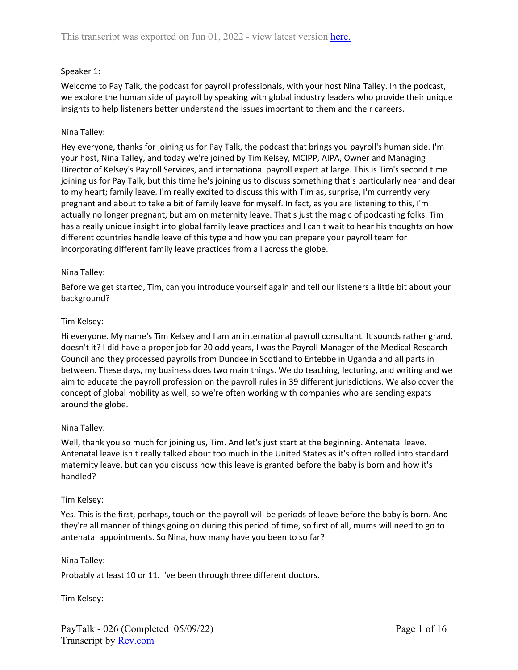# Speaker 1:

Welcome to Pay Talk, the podcast for payroll professionals, with your host Nina Talley. In the podcast, we explore the human side of payroll by speaking with global industry leaders who provide their unique insights to help listeners better understand the issues important to them and their careers.

# Nina Talley:

Hey everyone, thanks for joining us for Pay Talk, the podcast that brings you payroll's human side. I'm your host, Nina Talley, and today we're joined by Tim Kelsey, MCIPP, AIPA, Owner and Managing Director of Kelsey's Payroll Services, and international payroll expert at large. This is Tim's second time joining us for Pay Talk, but this time he's joining us to discuss something that's particularly near and dear to my heart; family leave. I'm really excited to discuss this with Tim as, surprise, I'm currently very pregnant and about to take a bit of family leave for myself. In fact, as you are listening to this, I'm actually no longer pregnant, but am on maternity leave. That's just the magic of podcasting folks. Tim has a really unique insight into global family leave practices and I can't wait to hear his thoughts on how different countries handle leave of this type and how you can prepare your payroll team for incorporating different family leave practices from all across the globe.

# Nina Talley:

Before we get started, Tim, can you introduce yourself again and tell our listeners a little bit about your background?

## Tim Kelsey:

Hi everyone. My name's Tim Kelsey and I am an international payroll consultant. It sounds rather grand, doesn't it? I did have a proper job for 20 odd years, I was the Payroll Manager of the Medical Research Council and they processed payrolls from Dundee in Scotland to Entebbe in Uganda and all parts in between. These days, my business does two main things. We do teaching, lecturing, and writing and we aim to educate the payroll profession on the payroll rules in 39 different jurisdictions. We also cover the concept of global mobility as well, so we're often working with companies who are sending expats around the globe.

# Nina Talley:

Well, thank you so much for joining us, Tim. And let's just start at the beginning. Antenatal leave. Antenatal leave isn't really talked about too much in the United States as it's often rolled into standard maternity leave, but can you discuss how this leave is granted before the baby is born and how it's handled?

# Tim Kelsey:

Yes. This is the first, perhaps, touch on the payroll will be periods of leave before the baby is born. And they're all manner of things going on during this period of time, so first of all, mums will need to go to antenatal appointments. So Nina, how many have you been to so far?

#### Nina Talley:

Probably at least 10 or 11. I've been through three different doctors.

Tim Kelsey: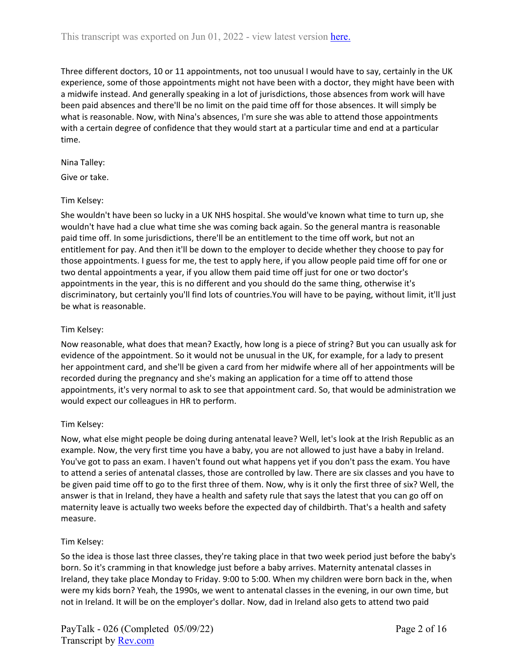Three different doctors, 10 or 11 appointments, not too unusual I would have to say, certainly in the UK experience, some of those appointments might not have been with a doctor, they might have been with a midwife instead. And generally speaking in a lot of jurisdictions, those absences from work will have been paid absences and there'll be no limit on the paid time off for those absences. It will simply be what is reasonable. Now, with Nina's absences, I'm sure she was able to attend those appointments with a certain degree of confidence that they would start at a particular time and end at a particular time.

## Nina Talley:

Give or take.

## Tim Kelsey:

She wouldn't have been so lucky in a UK NHS hospital. She would've known what time to turn up, she wouldn't have had a clue what time she was coming back again. So the general mantra is reasonable paid time off. In some jurisdictions, there'll be an entitlement to the time off work, but not an entitlement for pay. And then it'll be down to the employer to decide whether they choose to pay for those appointments. I guess for me, the test to apply here, if you allow people paid time off for one or two dental appointments a year, if you allow them paid time off just for one or two doctor's appointments in the year, this is no different and you should do the same thing, otherwise it's discriminatory, but certainly you'll find lots of countries.You will have to be paying, without limit, it'll just be what is reasonable.

# Tim Kelsey:

Now reasonable, what does that mean? Exactly, how long is a piece of string? But you can usually ask for evidence of the appointment. So it would not be unusual in the UK, for example, for a lady to present her appointment card, and she'll be given a card from her midwife where all of her appointments will be recorded during the pregnancy and she's making an application for a time off to attend those appointments, it's very normal to ask to see that appointment card. So, that would be administration we would expect our colleagues in HR to perform.

# Tim Kelsey:

Now, what else might people be doing during antenatal leave? Well, let's look at the Irish Republic as an example. Now, the very first time you have a baby, you are not allowed to just have a baby in Ireland. You've got to pass an exam. I haven't found out what happens yet if you don't pass the exam. You have to attend a series of antenatal classes, those are controlled by law. There are six classes and you have to be given paid time off to go to the first three of them. Now, why is it only the first three of six? Well, the answer is that in Ireland, they have a health and safety rule that says the latest that you can go off on maternity leave is actually two weeks before the expected day of childbirth. That's a health and safety measure.

#### Tim Kelsey:

So the idea is those last three classes, they're taking place in that two week period just before the baby's born. So it's cramming in that knowledge just before a baby arrives. Maternity antenatal classes in Ireland, they take place Monday to Friday. 9:00 to 5:00. When my children were born back in the, when were my kids born? Yeah, the 1990s, we went to antenatal classes in the evening, in our own time, but not in Ireland. It will be on the employer's dollar. Now, dad in Ireland also gets to attend two paid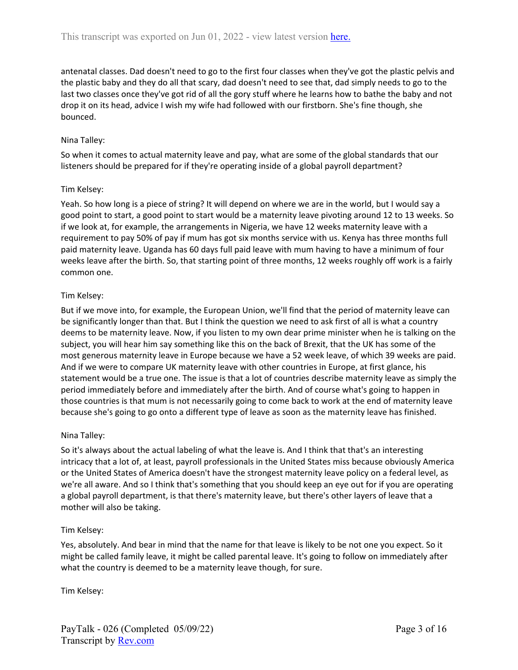antenatal classes. Dad doesn't need to go to the first four classes when they've got the plastic pelvis and the plastic baby and they do all that scary, dad doesn't need to see that, dad simply needs to go to the last two classes once they've got rid of all the gory stuff where he learns how to bathe the baby and not drop it on its head, advice I wish my wife had followed with our firstborn. She's fine though, she bounced.

# Nina Talley:

So when it comes to actual maternity leave and pay, what are some of the global standards that our listeners should be prepared for if they're operating inside of a global payroll department?

## Tim Kelsey:

Yeah. So how long is a piece of string? It will depend on where we are in the world, but I would say a good point to start, a good point to start would be a maternity leave pivoting around 12 to 13 weeks. So if we look at, for example, the arrangements in Nigeria, we have 12 weeks maternity leave with a requirement to pay 50% of pay if mum has got six months service with us. Kenya has three months full paid maternity leave. Uganda has 60 days full paid leave with mum having to have a minimum of four weeks leave after the birth. So, that starting point of three months, 12 weeks roughly off work is a fairly common one.

## Tim Kelsey:

But if we move into, for example, the European Union, we'll find that the period of maternity leave can be significantly longer than that. But I think the question we need to ask first of all is what a country deems to be maternity leave. Now, if you listen to my own dear prime minister when he is talking on the subject, you will hear him say something like this on the back of Brexit, that the UK has some of the most generous maternity leave in Europe because we have a 52 week leave, of which 39 weeks are paid. And if we were to compare UK maternity leave with other countries in Europe, at first glance, his statement would be a true one. The issue is that a lot of countries describe maternity leave as simply the period immediately before and immediately after the birth. And of course what's going to happen in those countries is that mum is not necessarily going to come back to work at the end of maternity leave because she's going to go onto a different type of leave as soon as the maternity leave has finished.

# Nina Talley:

So it's always about the actual labeling of what the leave is. And I think that that's an interesting intricacy that a lot of, at least, payroll professionals in the United States miss because obviously America or the United States of America doesn't have the strongest maternity leave policy on a federal level, as we're all aware. And so I think that's something that you should keep an eye out for if you are operating a global payroll department, is that there's maternity leave, but there's other layers of leave that a mother will also be taking.

#### Tim Kelsey:

Yes, absolutely. And bear in mind that the name for that leave is likely to be not one you expect. So it might be called family leave, it might be called parental leave. It's going to follow on immediately after what the country is deemed to be a maternity leave though, for sure.

Tim Kelsey: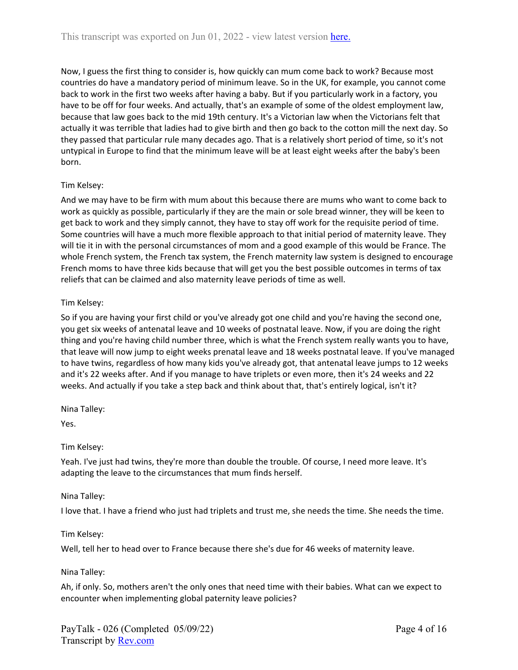Now, I guess the first thing to consider is, how quickly can mum come back to work? Because most countries do have a mandatory period of minimum leave. So in the UK, for example, you cannot come back to work in the first two weeks after having a baby. But if you particularly work in a factory, you have to be off for four weeks. And actually, that's an example of some of the oldest employment law, because that law goes back to the mid 19th century. It's a Victorian law when the Victorians felt that actually it was terrible that ladies had to give birth and then go back to the cotton mill the next day. So they passed that particular rule many decades ago. That is a relatively short period of time, so it's not untypical in Europe to find that the minimum leave will be at least eight weeks after the baby's been born.

# Tim Kelsey:

And we may have to be firm with mum about this because there are mums who want to come back to work as quickly as possible, particularly if they are the main or sole bread winner, they will be keen to get back to work and they simply cannot, they have to stay off work for the requisite period of time. Some countries will have a much more flexible approach to that initial period of maternity leave. They will tie it in with the personal circumstances of mom and a good example of this would be France. The whole French system, the French tax system, the French maternity law system is designed to encourage French moms to have three kids because that will get you the best possible outcomes in terms of tax reliefs that can be claimed and also maternity leave periods of time as well.

# Tim Kelsey:

So if you are having your first child or you've already got one child and you're having the second one, you get six weeks of antenatal leave and 10 weeks of postnatal leave. Now, if you are doing the right thing and you're having child number three, which is what the French system really wants you to have, that leave will now jump to eight weeks prenatal leave and 18 weeks postnatal leave. If you've managed to have twins, regardless of how many kids you've already got, that antenatal leave jumps to 12 weeks and it's 22 weeks after. And if you manage to have triplets or even more, then it's 24 weeks and 22 weeks. And actually if you take a step back and think about that, that's entirely logical, isn't it?

Nina Talley:

Yes.

# Tim Kelsey:

Yeah. I've just had twins, they're more than double the trouble. Of course, I need more leave. It's adapting the leave to the circumstances that mum finds herself.

# Nina Talley:

I love that. I have a friend who just had triplets and trust me, she needs the time. She needs the time.

# Tim Kelsey:

Well, tell her to head over to France because there she's due for 46 weeks of maternity leave.

#### Nina Talley:

Ah, if only. So, mothers aren't the only ones that need time with their babies. What can we expect to encounter when implementing global paternity leave policies?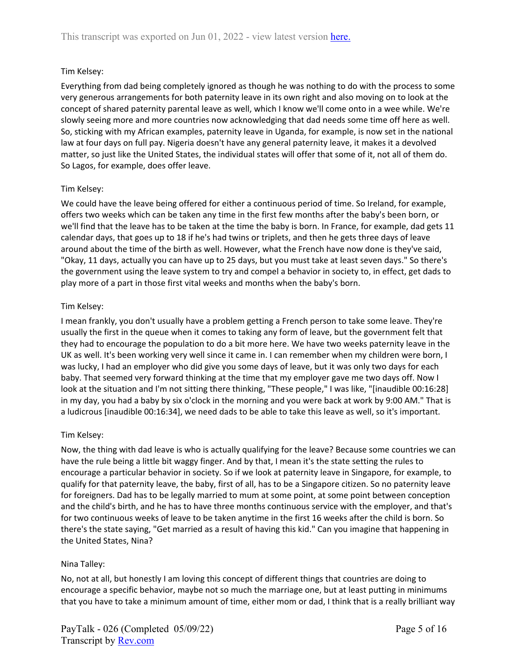Everything from dad being completely ignored as though he was nothing to do with the process to some very generous arrangements for both paternity leave in its own right and also moving on to look at the concept of shared paternity parental leave as well, which I know we'll come onto in a wee while. We're slowly seeing more and more countries now acknowledging that dad needs some time off here as well. So, sticking with my African examples, paternity leave in Uganda, for example, is now set in the national law at four days on full pay. Nigeria doesn't have any general paternity leave, it makes it a devolved matter, so just like the United States, the individual states will offer that some of it, not all of them do. So Lagos, for example, does offer leave.

#### Tim Kelsey:

We could have the leave being offered for either a continuous period of time. So Ireland, for example, offers two weeks which can be taken any time in the first few months after the baby's been born, or we'll find that the leave has to be taken at the time the baby is born. In France, for example, dad gets 11 calendar days, that goes up to 18 if he's had twins or triplets, and then he gets three days of leave around about the time of the birth as well. However, what the French have now done is they've said, "Okay, 11 days, actually you can have up to 25 days, but you must take at least seven days." So there's the government using the leave system to try and compel a behavior in society to, in effect, get dads to play more of a part in those first vital weeks and months when the baby's born.

#### Tim Kelsey:

I mean frankly, you don't usually have a problem getting a French person to take some leave. They're usually the first in the queue when it comes to taking any form of leave, but the government felt that they had to encourage the population to do a bit more here. We have two weeks paternity leave in the UK as well. It's been working very well since it came in. I can remember when my children were born, I was lucky, I had an employer who did give you some days of leave, but it was only two days for each baby. That seemed very forward thinking at the time that my employer gave me two days off. Now I look at the situation and I'm not sitting there thinking, "These people," I was like, "[inaudible 00:16:28] in my day, you had a baby by six o'clock in the morning and you were back at work by 9:00 AM." That is a ludicrous [inaudible 00:16:34], we need dads to be able to take this leave as well, so it's important.

#### Tim Kelsey:

Now, the thing with dad leave is who is actually qualifying for the leave? Because some countries we can have the rule being a little bit waggy finger. And by that, I mean it's the state setting the rules to encourage a particular behavior in society. So if we look at paternity leave in Singapore, for example, to qualify for that paternity leave, the baby, first of all, has to be a Singapore citizen. So no paternity leave for foreigners. Dad has to be legally married to mum at some point, at some point between conception and the child's birth, and he has to have three months continuous service with the employer, and that's for two continuous weeks of leave to be taken anytime in the first 16 weeks after the child is born. So there's the state saying, "Get married as a result of having this kid." Can you imagine that happening in the United States, Nina?

#### Nina Talley:

No, not at all, but honestly I am loving this concept of different things that countries are doing to encourage a specific behavior, maybe not so much the marriage one, but at least putting in minimums that you have to take a minimum amount of time, either mom or dad, I think that is a really brilliant way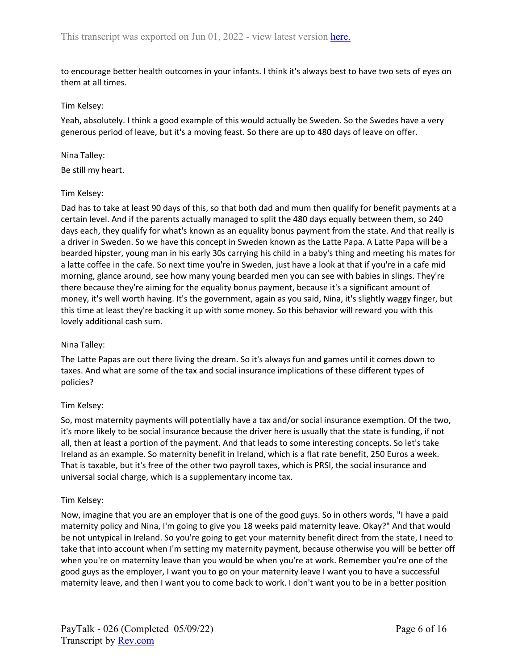to encourage better health outcomes in your infants. I think it's always best to have two sets of eyes on them at all times.

#### Tim Kelsey:

Yeah, absolutely. I think a good example of this would actually be Sweden. So the Swedes have a very generous period of leave, but it's a moving feast. So there are up to 480 days of leave on offer.

#### Nina Talley:

Be still my heart.

#### Tim Kelsey:

Dad has to take at least 90 days of this, so that both dad and mum then qualify for benefit payments at a certain level. And if the parents actually managed to split the 480 days equally between them, so 240 days each, they qualify for what's known as an equality bonus payment from the state. And that really is a driver in Sweden. So we have this concept in Sweden known as the Latte Papa. A Latte Papa will be a bearded hipster, young man in his early 30s carrying his child in a baby's thing and meeting his mates for a latte coffee in the cafe. So next time you're in Sweden, just have a look at that if you're in a cafe mid morning, glance around, see how many young bearded men you can see with babies in slings. They're there because they're aiming for the equality bonus payment, because it's a significant amount of money, it's well worth having. It's the government, again as you said, Nina, it's slightly waggy finger, but this time at least they're backing it up with some money. So this behavior will reward you with this lovely additional cash sum.

#### Nina Talley:

The Latte Papas are out there living the dream. So it's always fun and games until it comes down to taxes. And what are some of the tax and social insurance implications of these different types of policies?

#### Tim Kelsey:

So, most maternity payments will potentially have a tax and/or social insurance exemption. Of the two, it's more likely to be social insurance because the driver here is usually that the state is funding, if not all, then at least a portion of the payment. And that leads to some interesting concepts. So let's take Ireland as an example. So maternity benefit in Ireland, which is a flat rate benefit, 250 Euros a week. That is taxable, but it's free of the other two payroll taxes, which is PRSI, the social insurance and universal social charge, which is a supplementary income tax.

#### Tim Kelsey:

Now, imagine that you are an employer that is one of the good guys. So in others words, "I have a paid maternity policy and Nina, I'm going to give you 18 weeks paid maternity leave. Okay?" And that would be not untypical in Ireland. So you're going to get your maternity benefit direct from the state, I need to take that into account when I'm setting my maternity payment, because otherwise you will be better off when you're on maternity leave than you would be when you're at work. Remember you're one of the good guys as the employer, I want you to go on your maternity leave I want you to have a successful maternity leave, and then I want you to come back to work. I don't want you to be in a better position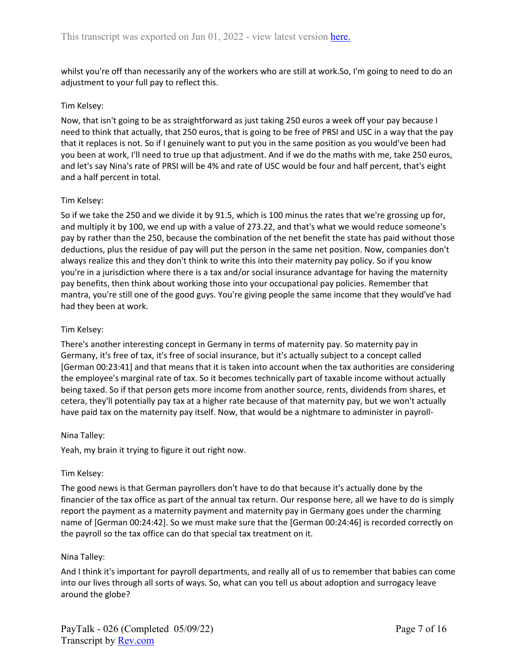whilst you're off than necessarily any of the workers who are still at work.So, I'm going to need to do an adjustment to your full pay to reflect this.

### Tim Kelsey:

Now, that isn't going to be as straightforward as just taking 250 euros a week off your pay because I need to think that actually, that 250 euros, that is going to be free of PRSI and USC in a way that the pay that it replaces is not. So if I genuinely want to put you in the same position as you would've been had you been at work, I'll need to true up that adjustment. And if we do the maths with me, take 250 euros, and let's say Nina's rate of PRSI will be 4% and rate of USC would be four and half percent, that's eight and a half percent in total.

## Tim Kelsey:

So if we take the 250 and we divide it by 91.5, which is 100 minus the rates that we're grossing up for, and multiply it by 100, we end up with a value of 273.22, and that's what we would reduce someone's pay by rather than the 250, because the combination of the net benefit the state has paid without those deductions, plus the residue of pay will put the person in the same net position. Now, companies don't always realize this and they don't think to write this into their maternity pay policy. So if you know you're in a jurisdiction where there is a tax and/or social insurance advantage for having the maternity pay benefits, then think about working those into your occupational pay policies. Remember that mantra, you're still one of the good guys. You're giving people the same income that they would've had had they been at work.

## Tim Kelsey:

There's another interesting concept in Germany in terms of maternity pay. So maternity pay in Germany, it's free of tax, it's free of social insurance, but it's actually subject to a concept called [German 00:23:41] and that means that it is taken into account when the tax authorities are considering the employee's marginal rate of tax. So it becomes technically part of taxable income without actually being taxed. So if that person gets more income from another source, rents, dividends from shares, et cetera, they'll potentially pay tax at a higher rate because of that maternity pay, but we won't actually have paid tax on the maternity pay itself. Now, that would be a nightmare to administer in payroll-

#### Nina Talley:

Yeah, my brain it trying to figure it out right now.

#### Tim Kelsey:

The good news is that German payrollers don't have to do that because it's actually done by the financier of the tax office as part of the annual tax return. Our response here, all we have to do is simply report the payment as a maternity payment and maternity pay in Germany goes under the charming name of [German 00:24:42]. So we must make sure that the [German 00:24:46] is recorded correctly on the payroll so the tax office can do that special tax treatment on it.

#### Nina Talley:

And I think it's important for payroll departments, and really all of us to remember that babies can come into our lives through all sorts of ways. So, what can you tell us about adoption and surrogacy leave around the globe?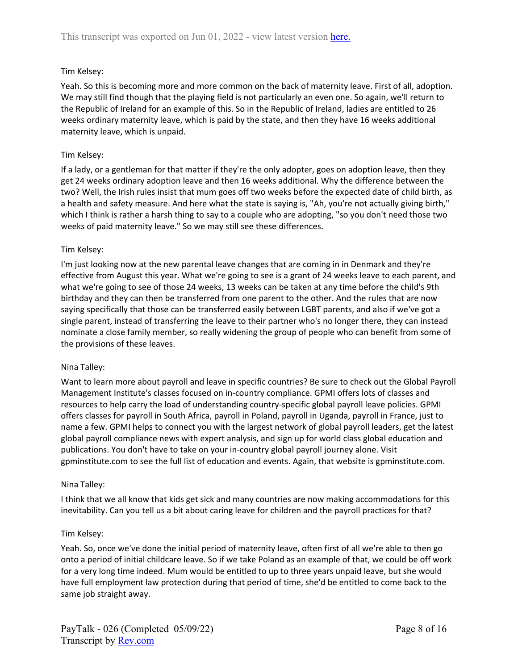Yeah. So this is becoming more and more common on the back of maternity leave. First of all, adoption. We may still find though that the playing field is not particularly an even one. So again, we'll return to the Republic of Ireland for an example of this. So in the Republic of Ireland, ladies are entitled to 26 weeks ordinary maternity leave, which is paid by the state, and then they have 16 weeks additional maternity leave, which is unpaid.

### Tim Kelsey:

If a lady, or a gentleman for that matter if they're the only adopter, goes on adoption leave, then they get 24 weeks ordinary adoption leave and then 16 weeks additional. Why the difference between the two? Well, the Irish rules insist that mum goes off two weeks before the expected date of child birth, as a health and safety measure. And here what the state is saying is, "Ah, you're not actually giving birth," which I think is rather a harsh thing to say to a couple who are adopting, "so you don't need those two weeks of paid maternity leave." So we may still see these differences.

#### Tim Kelsey:

I'm just looking now at the new parental leave changes that are coming in in Denmark and they're effective from August this year. What we're going to see is a grant of 24 weeks leave to each parent, and what we're going to see of those 24 weeks, 13 weeks can be taken at any time before the child's 9th birthday and they can then be transferred from one parent to the other. And the rules that are now saying specifically that those can be transferred easily between LGBT parents, and also if we've got a single parent, instead of transferring the leave to their partner who's no longer there, they can instead nominate a close family member, so really widening the group of people who can benefit from some of the provisions of these leaves.

#### Nina Talley:

Want to learn more about payroll and leave in specific countries? Be sure to check out the Global Payroll Management Institute's classes focused on in-country compliance. GPMI offers lots of classes and resources to help carry the load of understanding country-specific global payroll leave policies. GPMI offers classes for payroll in South Africa, payroll in Poland, payroll in Uganda, payroll in France, just to name a few. GPMI helps to connect you with the largest network of global payroll leaders, get the latest global payroll compliance news with expert analysis, and sign up for world class global education and publications. You don't have to take on your in-country global payroll journey alone. Visit gpminstitute.com to see the full list of education and events. Again, that website is gpminstitute.com.

#### Nina Talley:

I think that we all know that kids get sick and many countries are now making accommodations for this inevitability. Can you tell us a bit about caring leave for children and the payroll practices for that?

#### Tim Kelsey:

Yeah. So, once we've done the initial period of maternity leave, often first of all we're able to then go onto a period of initial childcare leave. So if we take Poland as an example of that, we could be off work for a very long time indeed. Mum would be entitled to up to three years unpaid leave, but she would have full employment law protection during that period of time, she'd be entitled to come back to the same job straight away.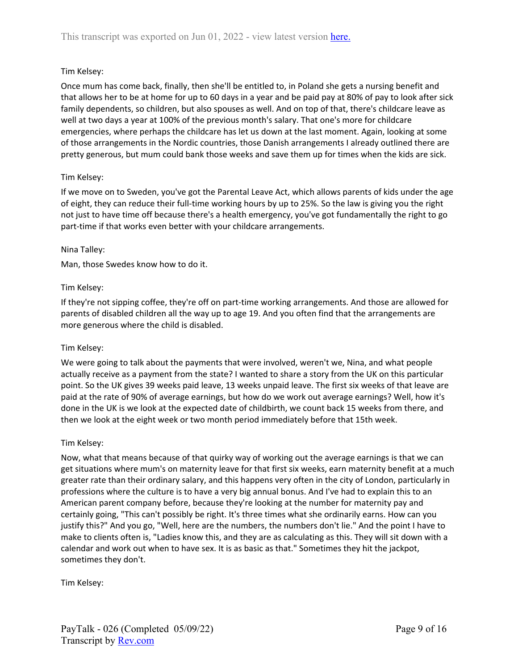Once mum has come back, finally, then she'll be entitled to, in Poland she gets a nursing benefit and that allows her to be at home for up to 60 days in a year and be paid pay at 80% of pay to look after sick family dependents, so children, but also spouses as well. And on top of that, there's childcare leave as well at two days a year at 100% of the previous month's salary. That one's more for childcare emergencies, where perhaps the childcare has let us down at the last moment. Again, looking at some of those arrangements in the Nordic countries, those Danish arrangements I already outlined there are pretty generous, but mum could bank those weeks and save them up for times when the kids are sick.

# Tim Kelsey:

If we move on to Sweden, you've got the Parental Leave Act, which allows parents of kids under the age of eight, they can reduce their full-time working hours by up to 25%. So the law is giving you the right not just to have time off because there's a health emergency, you've got fundamentally the right to go part-time if that works even better with your childcare arrangements.

# Nina Talley:

Man, those Swedes know how to do it.

## Tim Kelsey:

If they're not sipping coffee, they're off on part-time working arrangements. And those are allowed for parents of disabled children all the way up to age 19. And you often find that the arrangements are more generous where the child is disabled.

#### Tim Kelsey:

We were going to talk about the payments that were involved, weren't we, Nina, and what people actually receive as a payment from the state? I wanted to share a story from the UK on this particular point. So the UK gives 39 weeks paid leave, 13 weeks unpaid leave. The first six weeks of that leave are paid at the rate of 90% of average earnings, but how do we work out average earnings? Well, how it's done in the UK is we look at the expected date of childbirth, we count back 15 weeks from there, and then we look at the eight week or two month period immediately before that 15th week.

# Tim Kelsey:

Now, what that means because of that quirky way of working out the average earnings is that we can get situations where mum's on maternity leave for that first six weeks, earn maternity benefit at a much greater rate than their ordinary salary, and this happens very often in the city of London, particularly in professions where the culture is to have a very big annual bonus. And I've had to explain this to an American parent company before, because they're looking at the number for maternity pay and certainly going, "This can't possibly be right. It's three times what she ordinarily earns. How can you justify this?" And you go, "Well, here are the numbers, the numbers don't lie." And the point I have to make to clients often is, "Ladies know this, and they are as calculating as this. They will sit down with a calendar and work out when to have sex. It is as basic as that." Sometimes they hit the jackpot, sometimes they don't.

Tim Kelsey: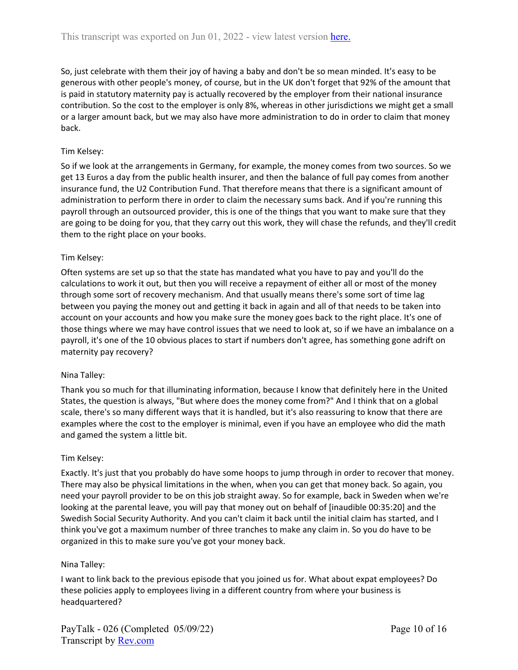So, just celebrate with them their joy of having a baby and don't be so mean minded. It's easy to be generous with other people's money, of course, but in the UK don't forget that 92% of the amount that is paid in statutory maternity pay is actually recovered by the employer from their national insurance contribution. So the cost to the employer is only 8%, whereas in other jurisdictions we might get a small or a larger amount back, but we may also have more administration to do in order to claim that money back.

# Tim Kelsey:

So if we look at the arrangements in Germany, for example, the money comes from two sources. So we get 13 Euros a day from the public health insurer, and then the balance of full pay comes from another insurance fund, the U2 Contribution Fund. That therefore means that there is a significant amount of administration to perform there in order to claim the necessary sums back. And if you're running this payroll through an outsourced provider, this is one of the things that you want to make sure that they are going to be doing for you, that they carry out this work, they will chase the refunds, and they'll credit them to the right place on your books.

# Tim Kelsey:

Often systems are set up so that the state has mandated what you have to pay and you'll do the calculations to work it out, but then you will receive a repayment of either all or most of the money through some sort of recovery mechanism. And that usually means there's some sort of time lag between you paying the money out and getting it back in again and all of that needs to be taken into account on your accounts and how you make sure the money goes back to the right place. It's one of those things where we may have control issues that we need to look at, so if we have an imbalance on a payroll, it's one of the 10 obvious places to start if numbers don't agree, has something gone adrift on maternity pay recovery?

# Nina Talley:

Thank you so much for that illuminating information, because I know that definitely here in the United States, the question is always, "But where does the money come from?" And I think that on a global scale, there's so many different ways that it is handled, but it's also reassuring to know that there are examples where the cost to the employer is minimal, even if you have an employee who did the math and gamed the system a little bit.

# Tim Kelsey:

Exactly. It's just that you probably do have some hoops to jump through in order to recover that money. There may also be physical limitations in the when, when you can get that money back. So again, you need your payroll provider to be on this job straight away. So for example, back in Sweden when we're looking at the parental leave, you will pay that money out on behalf of [inaudible 00:35:20] and the Swedish Social Security Authority. And you can't claim it back until the initial claim has started, and I think you've got a maximum number of three tranches to make any claim in. So you do have to be organized in this to make sure you've got your money back.

# Nina Talley:

I want to link back to the previous episode that you joined us for. What about expat employees? Do these policies apply to employees living in a different country from where your business is headquartered?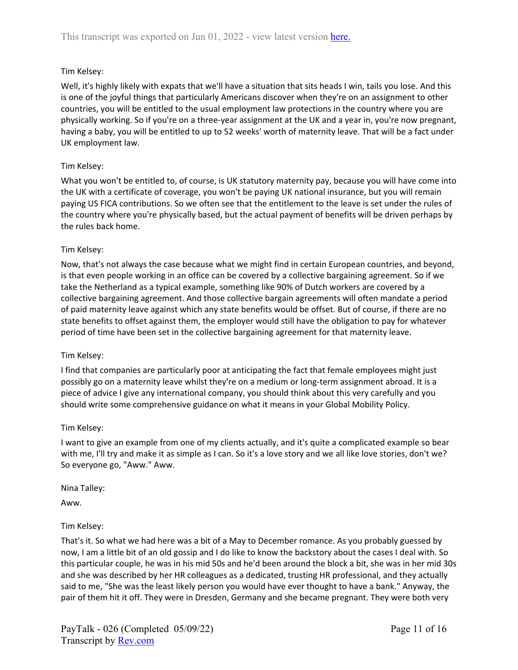Well, it's highly likely with expats that we'll have a situation that sits heads I win, tails you lose. And this is one of the joyful things that particularly Americans discover when they're on an assignment to other countries, you will be entitled to the usual employment law protections in the country where you are physically working. So if you're on a three-year assignment at the UK and a year in, you're now pregnant, having a baby, you will be entitled to up to 52 weeks' worth of maternity leave. That will be a fact under UK employment law.

# Tim Kelsey:

What you won't be entitled to, of course, is UK statutory maternity pay, because you will have come into the UK with a certificate of coverage, you won't be paying UK national insurance, but you will remain paying US FICA contributions. So we often see that the entitlement to the leave is set under the rules of the country where you're physically based, but the actual payment of benefits will be driven perhaps by the rules back home.

## Tim Kelsey:

Now, that's not always the case because what we might find in certain European countries, and beyond, is that even people working in an office can be covered by a collective bargaining agreement. So if we take the Netherland as a typical example, something like 90% of Dutch workers are covered by a collective bargaining agreement. And those collective bargain agreements will often mandate a period of paid maternity leave against which any state benefits would be offset. But of course, if there are no state benefits to offset against them, the employer would still have the obligation to pay for whatever period of time have been set in the collective bargaining agreement for that maternity leave.

#### Tim Kelsey:

I find that companies are particularly poor at anticipating the fact that female employees might just possibly go on a maternity leave whilst they're on a medium or long-term assignment abroad. It is a piece of advice I give any international company, you should think about this very carefully and you should write some comprehensive guidance on what it means in your Global Mobility Policy.

#### Tim Kelsey:

I want to give an example from one of my clients actually, and it's quite a complicated example so bear with me, I'll try and make it as simple as I can. So it's a love story and we all like love stories, don't we? So everyone go, "Aww." Aww.

#### Nina Talley:

Aww.

# Tim Kelsey:

That's it. So what we had here was a bit of a May to December romance. As you probably guessed by now, I am a little bit of an old gossip and I do like to know the backstory about the cases I deal with. So this particular couple, he was in his mid 50s and he'd been around the block a bit, she was in her mid 30s and she was described by her HR colleagues as a dedicated, trusting HR professional, and they actually said to me, "She was the least likely person you would have ever thought to have a bank." Anyway, the pair of them hit it off. They were in Dresden, Germany and she became pregnant. They were both very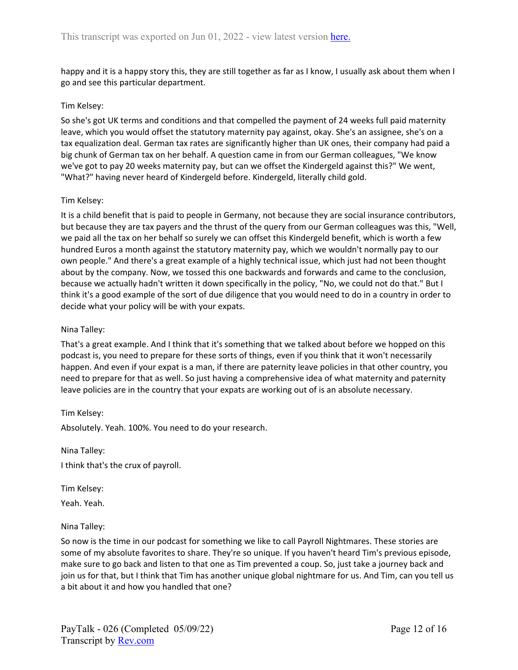happy and it is a happy story this, they are still together as far as I know, I usually ask about them when I go and see this particular department.

### Tim Kelsey:

So she's got UK terms and conditions and that compelled the payment of 24 weeks full paid maternity leave, which you would offset the statutory maternity pay against, okay. She's an assignee, she's on a tax equalization deal. German tax rates are significantly higher than UK ones, their company had paid a big chunk of German tax on her behalf. A question came in from our German colleagues, "We know we've got to pay 20 weeks maternity pay, but can we offset the Kindergeld against this?" We went, "What?" having never heard of Kindergeld before. Kindergeld, literally child gold.

## Tim Kelsey:

It is a child benefit that is paid to people in Germany, not because they are social insurance contributors, but because they are tax payers and the thrust of the query from our German colleagues was this, "Well, we paid all the tax on her behalf so surely we can offset this Kindergeld benefit, which is worth a few hundred Euros a month against the statutory maternity pay, which we wouldn't normally pay to our own people." And there's a great example of a highly technical issue, which just had not been thought about by the company. Now, we tossed this one backwards and forwards and came to the conclusion, because we actually hadn't written it down specifically in the policy, "No, we could not do that." But I think it's a good example of the sort of due diligence that you would need to do in a country in order to decide what your policy will be with your expats.

## Nina Talley:

That's a great example. And I think that it's something that we talked about before we hopped on this podcast is, you need to prepare for these sorts of things, even if you think that it won't necessarily happen. And even if your expat is a man, if there are paternity leave policies in that other country, you need to prepare for that as well. So just having a comprehensive idea of what maternity and paternity leave policies are in the country that your expats are working out of is an absolute necessary.

#### Tim Kelsey:

Absolutely. Yeah. 100%. You need to do your research.

Nina Talley: I think that's the crux of payroll.

Tim Kelsey:

Yeah. Yeah.

#### Nina Talley:

So now is the time in our podcast for something we like to call Payroll Nightmares. These stories are some of my absolute favorites to share. They're so unique. If you haven't heard Tim's previous episode, make sure to go back and listen to that one as Tim prevented a coup. So, just take a journey back and join us for that, but I think that Tim has another unique global nightmare for us. And Tim, can you tell us a bit about it and how you handled that one?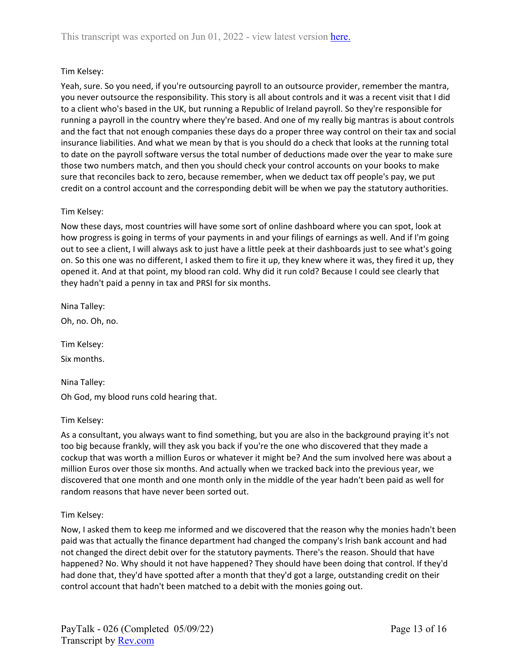Yeah, sure. So you need, if you're outsourcing payroll to an outsource provider, remember the mantra, you never outsource the responsibility. This story is all about controls and it was a recent visit that I did to a client who's based in the UK, but running a Republic of Ireland payroll. So they're responsible for running a payroll in the country where they're based. And one of my really big mantras is about controls and the fact that not enough companies these days do a proper three way control on their tax and social insurance liabilities. And what we mean by that is you should do a check that looks at the running total to date on the payroll software versus the total number of deductions made over the year to make sure those two numbers match, and then you should check your control accounts on your books to make sure that reconciles back to zero, because remember, when we deduct tax off people's pay, we put credit on a control account and the corresponding debit will be when we pay the statutory authorities.

# Tim Kelsey:

Now these days, most countries will have some sort of online dashboard where you can spot, look at how progress is going in terms of your payments in and your filings of earnings as well. And if I'm going out to see a client, I will always ask to just have a little peek at their dashboards just to see what's going on. So this one was no different, I asked them to fire it up, they knew where it was, they fired it up, they opened it. And at that point, my blood ran cold. Why did it run cold? Because I could see clearly that they hadn't paid a penny in tax and PRSI for six months.

Nina Talley:

Oh, no. Oh, no.

Tim Kelsey:

Six months.

Nina Talley: Oh God, my blood runs cold hearing that.

Tim Kelsey:

As a consultant, you always want to find something, but you are also in the background praying it's not too big because frankly, will they ask you back if you're the one who discovered that they made a cockup that was worth a million Euros or whatever it might be? And the sum involved here was about a million Euros over those six months. And actually when we tracked back into the previous year, we discovered that one month and one month only in the middle of the year hadn't been paid as well for random reasons that have never been sorted out.

# Tim Kelsey:

Now, I asked them to keep me informed and we discovered that the reason why the monies hadn't been paid was that actually the finance department had changed the company's Irish bank account and had not changed the direct debit over for the statutory payments. There's the reason. Should that have happened? No. Why should it not have happened? They should have been doing that control. If they'd had done that, they'd have spotted after a month that they'd got a large, outstanding credit on their control account that hadn't been matched to a debit with the monies going out.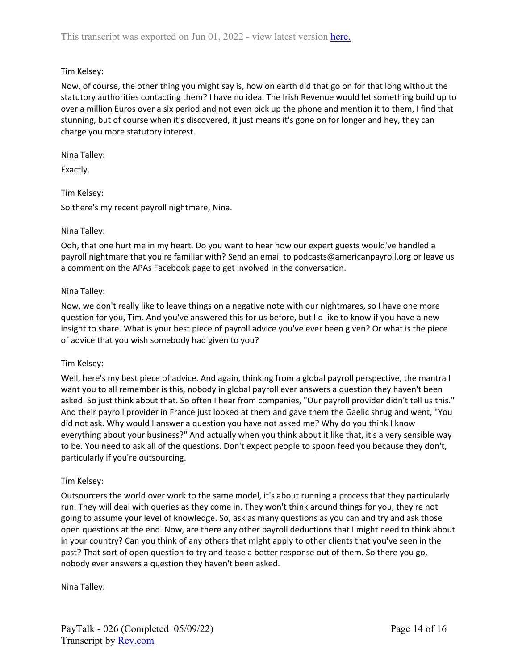Now, of course, the other thing you might say is, how on earth did that go on for that long without the statutory authorities contacting them? I have no idea. The Irish Revenue would let something build up to over a million Euros over a six period and not even pick up the phone and mention it to them, I find that stunning, but of course when it's discovered, it just means it's gone on for longer and hey, they can charge you more statutory interest.

Nina Talley:

Exactly.

# Tim Kelsey:

So there's my recent payroll nightmare, Nina.

# Nina Talley:

Ooh, that one hurt me in my heart. Do you want to hear how our expert guests would've handled a payroll nightmare that you're familiar with? Send an email to podcasts@americanpayroll.org or leave us a comment on the APAs Facebook page to get involved in the conversation.

## Nina Talley:

Now, we don't really like to leave things on a negative note with our nightmares, so I have one more question for you, Tim. And you've answered this for us before, but I'd like to know if you have a new insight to share. What is your best piece of payroll advice you've ever been given? Or what is the piece of advice that you wish somebody had given to you?

# Tim Kelsey:

Well, here's my best piece of advice. And again, thinking from a global payroll perspective, the mantra I want you to all remember is this, nobody in global payroll ever answers a question they haven't been asked. So just think about that. So often I hear from companies, "Our payroll provider didn't tell us this." And their payroll provider in France just looked at them and gave them the Gaelic shrug and went, "You did not ask. Why would I answer a question you have not asked me? Why do you think I know everything about your business?" And actually when you think about it like that, it's a very sensible way to be. You need to ask all of the questions. Don't expect people to spoon feed you because they don't, particularly if you're outsourcing.

#### Tim Kelsey:

Outsourcers the world over work to the same model, it's about running a process that they particularly run. They will deal with queries as they come in. They won't think around things for you, they're not going to assume your level of knowledge. So, ask as many questions as you can and try and ask those open questions at the end. Now, are there any other payroll deductions that I might need to think about in your country? Can you think of any others that might apply to other clients that you've seen in the past? That sort of open question to try and tease a better response out of them. So there you go, nobody ever answers a question they haven't been asked.

Nina Talley: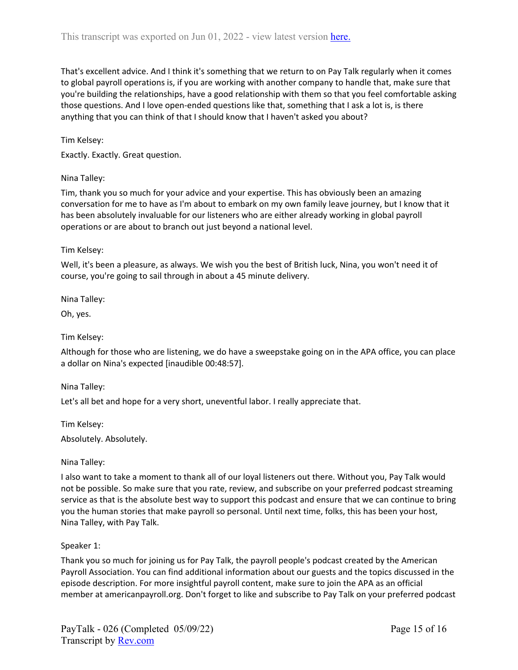That's excellent advice. And I think it's something that we return to on Pay Talk regularly when it comes to global payroll operations is, if you are working with another company to handle that, make sure that you're building the relationships, have a good relationship with them so that you feel comfortable asking those questions. And I love open-ended questions like that, something that I ask a lot is, is there anything that you can think of that I should know that I haven't asked you about?

Tim Kelsey:

Exactly. Exactly. Great question.

#### Nina Talley:

Tim, thank you so much for your advice and your expertise. This has obviously been an amazing conversation for me to have as I'm about to embark on my own family leave journey, but I know that it has been absolutely invaluable for our listeners who are either already working in global payroll operations or are about to branch out just beyond a national level.

#### Tim Kelsey:

Well, it's been a pleasure, as always. We wish you the best of British luck, Nina, you won't need it of course, you're going to sail through in about a 45 minute delivery.

Nina Talley:

Oh, yes.

Tim Kelsey:

Although for those who are listening, we do have a sweepstake going on in the APA office, you can place a dollar on Nina's expected [inaudible 00:48:57].

Nina Talley:

Let's all bet and hope for a very short, uneventful labor. I really appreciate that.

Tim Kelsey:

Absolutely. Absolutely.

#### Nina Talley:

I also want to take a moment to thank all of our loyal listeners out there. Without you, Pay Talk would not be possible. So make sure that you rate, review, and subscribe on your preferred podcast streaming service as that is the absolute best way to support this podcast and ensure that we can continue to bring you the human stories that make payroll so personal. Until next time, folks, this has been your host, Nina Talley, with Pay Talk.

#### Speaker 1:

Thank you so much for joining us for Pay Talk, the payroll people's podcast created by the American Payroll Association. You can find additional information about our guests and the topics discussed in the episode description. For more insightful payroll content, make sure to join the APA as an official member at americanpayroll.org. Don't forget to like and subscribe to Pay Talk on your preferred podcast